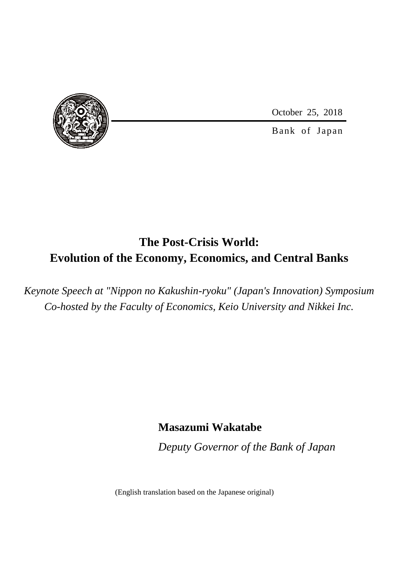October 25, 2018



Bank of Japan

# **The Post-Crisis World: Evolution of the Economy, Economics, and Central Banks**

*Keynote Speech at "Nippon no Kakushin-ryoku" (Japan's Innovation) Symposium Co-hosted by the Faculty of Economics, Keio University and Nikkei Inc.*

### **Masazumi Wakatabe**

*Deputy Governor of the Bank of Japan*

(English translation based on the Japanese original)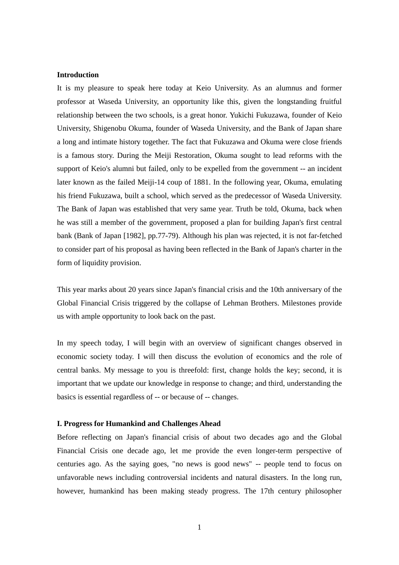### **Introduction**

It is my pleasure to speak here today at Keio University. As an alumnus and former professor at Waseda University, an opportunity like this, given the longstanding fruitful relationship between the two schools, is a great honor. Yukichi Fukuzawa, founder of Keio University, Shigenobu Okuma, founder of Waseda University, and the Bank of Japan share a long and intimate history together. The fact that Fukuzawa and Okuma were close friends is a famous story. During the Meiji Restoration, Okuma sought to lead reforms with the support of Keio's alumni but failed, only to be expelled from the government -- an incident later known as the failed Meiji-14 coup of 1881. In the following year, Okuma, emulating his friend Fukuzawa, built a school, which served as the predecessor of Waseda University. The Bank of Japan was established that very same year. Truth be told, Okuma, back when he was still a member of the government, proposed a plan for building Japan's first central bank (Bank of Japan [1982], pp.77-79). Although his plan was rejected, it is not far-fetched to consider part of his proposal as having been reflected in the Bank of Japan's charter in the form of liquidity provision.

This year marks about 20 years since Japan's financial crisis and the 10th anniversary of the Global Financial Crisis triggered by the collapse of Lehman Brothers. Milestones provide us with ample opportunity to look back on the past.

In my speech today, I will begin with an overview of significant changes observed in economic society today. I will then discuss the evolution of economics and the role of central banks. My message to you is threefold: first, change holds the key; second, it is important that we update our knowledge in response to change; and third, understanding the basics is essential regardless of -- or because of -- changes.

#### **I. Progress for Humankind and Challenges Ahead**

Before reflecting on Japan's financial crisis of about two decades ago and the Global Financial Crisis one decade ago, let me provide the even longer-term perspective of centuries ago. As the saying goes, "no news is good news" -- people tend to focus on unfavorable news including controversial incidents and natural disasters. In the long run, however, humankind has been making steady progress. The 17th century philosopher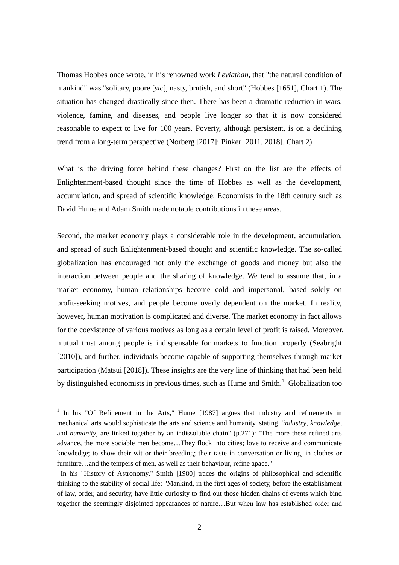Thomas Hobbes once wrote, in his renowned work *Leviathan*, that "the natural condition of mankind" was "solitary, poore [*sic*], nasty, brutish, and short" (Hobbes [1651], Chart 1). The situation has changed drastically since then. There has been a dramatic reduction in wars, violence, famine, and diseases, and people live longer so that it is now considered reasonable to expect to live for 100 years. Poverty, although persistent, is on a declining trend from a long-term perspective (Norberg [2017]; Pinker [2011, 2018], Chart 2).

What is the driving force behind these changes? First on the list are the effects of Enlightenment-based thought since the time of Hobbes as well as the development, accumulation, and spread of scientific knowledge. Economists in the 18th century such as David Hume and Adam Smith made notable contributions in these areas.

Second, the market economy plays a considerable role in the development, accumulation, and spread of such Enlightenment-based thought and scientific knowledge. The so-called globalization has encouraged not only the exchange of goods and money but also the interaction between people and the sharing of knowledge. We tend to assume that, in a market economy, human relationships become cold and impersonal, based solely on profit-seeking motives, and people become overly dependent on the market. In reality, however, human motivation is complicated and diverse. The market economy in fact allows for the coexistence of various motives as long as a certain level of profit is raised. Moreover, mutual trust among people is indispensable for markets to function properly (Seabright [2010]), and further, individuals become capable of supporting themselves through market participation (Matsui [2018]). These insights are the very line of thinking that had been held by distinguished economists in previous times, such as Hume and  $Smith<sup>1</sup>$ . Globalization too

<sup>&</sup>lt;sup>1</sup> In his "Of Refinement in the Arts," Hume [1987] argues that industry and refinements in mechanical arts would sophisticate the arts and science and humanity, stating "*industry*, *knowledge*, and *humanity*, are linked together by an indissoluble chain" (p.271): "The more these refined arts advance, the more sociable men become…They flock into cities; love to receive and communicate knowledge; to show their wit or their breeding; their taste in conversation or living, in clothes or furniture…and the tempers of men, as well as their behaviour, refine apace."

In his "History of Astronomy," Smith [1980] traces the origins of philosophical and scientific thinking to the stability of social life: "Mankind, in the first ages of society, before the establishment of law, order, and security, have little curiosity to find out those hidden chains of events which bind together the seemingly disjointed appearances of nature…But when law has established order and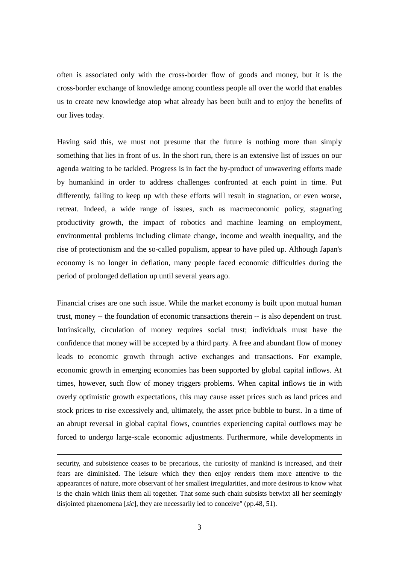often is associated only with the cross-border flow of goods and money, but it is the cross-border exchange of knowledge among countless people all over the world that enables us to create new knowledge atop what already has been built and to enjoy the benefits of our lives today.

Having said this, we must not presume that the future is nothing more than simply something that lies in front of us. In the short run, there is an extensive list of issues on our agenda waiting to be tackled. Progress is in fact the by-product of unwavering efforts made by humankind in order to address challenges confronted at each point in time. Put differently, failing to keep up with these efforts will result in stagnation, or even worse, retreat. Indeed, a wide range of issues, such as macroeconomic policy, stagnating productivity growth, the impact of robotics and machine learning on employment, environmental problems including climate change, income and wealth inequality, and the rise of protectionism and the so-called populism, appear to have piled up. Although Japan's economy is no longer in deflation, many people faced economic difficulties during the period of prolonged deflation up until several years ago.

Financial crises are one such issue. While the market economy is built upon mutual human trust, money -- the foundation of economic transactions therein -- is also dependent on trust. Intrinsically, circulation of money requires social trust; individuals must have the confidence that money will be accepted by a third party. A free and abundant flow of money leads to economic growth through active exchanges and transactions. For example, economic growth in emerging economies has been supported by global capital inflows. At times, however, such flow of money triggers problems. When capital inflows tie in with overly optimistic growth expectations, this may cause asset prices such as land prices and stock prices to rise excessively and, ultimately, the asset price bubble to burst. In a time of an abrupt reversal in global capital flows, countries experiencing capital outflows may be forced to undergo large-scale economic adjustments. Furthermore, while developments in

security, and subsistence ceases to be precarious, the curiosity of mankind is increased, and their fears are diminished. The leisure which they then enjoy renders them more attentive to the appearances of nature, more observant of her smallest irregularities, and more desirous to know what is the chain which links them all together. That some such chain subsists betwixt all her seemingly disjointed phaenomena [*sic*], they are necessarily led to conceive" (pp.48, 51).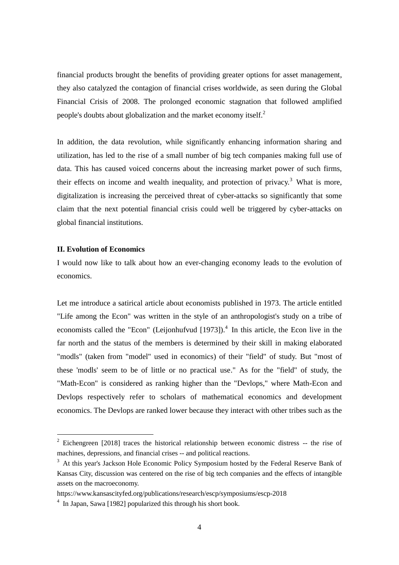financial products brought the benefits of providing greater options for asset management, they also catalyzed the contagion of financial crises worldwide, as seen during the Global Financial Crisis of 2008. The prolonged economic stagnation that followed amplified people's doubts about globalization and the market economy itself.<sup>2</sup>

In addition, the data revolution, while significantly enhancing information sharing and utilization, has led to the rise of a small number of big tech companies making full use of data. This has caused voiced concerns about the increasing market power of such firms, their effects on income and wealth inequality, and protection of privacy.<sup>3</sup> What is more, digitalization is increasing the perceived threat of cyber-attacks so significantly that some claim that the next potential financial crisis could well be triggered by cyber-attacks on global financial institutions.

### **II. Evolution of Economics**

-

I would now like to talk about how an ever-changing economy leads to the evolution of economics.

Let me introduce a satirical article about economists published in 1973. The article entitled "Life among the Econ" was written in the style of an anthropologist's study on a tribe of economists called the "Econ" (Leijonhufvud  $[1973]$ ).<sup>4</sup> In this article, the Econ live in the far north and the status of the members is determined by their skill in making elaborated "modls" (taken from "model" used in economics) of their "field" of study. But "most of these 'modls' seem to be of little or no practical use." As for the "field" of study, the "Math-Econ" is considered as ranking higher than the "Devlops," where Math-Econ and Devlops respectively refer to scholars of mathematical economics and development economics. The Devlops are ranked lower because they interact with other tribes such as the

 $2$  Eichengreen [2018] traces the historical relationship between economic distress  $-$  the rise of machines, depressions, and financial crises -- and political reactions.

<sup>&</sup>lt;sup>3</sup> At this year's Jackson Hole Economic Policy Symposium hosted by the Federal Reserve Bank of Kansas City, discussion was centered on the rise of big tech companies and the effects of intangible assets on the macroeconomy.

https://www.kansascityfed.org/publications/research/escp/symposiums/escp-2018

<sup>&</sup>lt;sup>4</sup> In Japan, Sawa [1982] popularized this through his short book.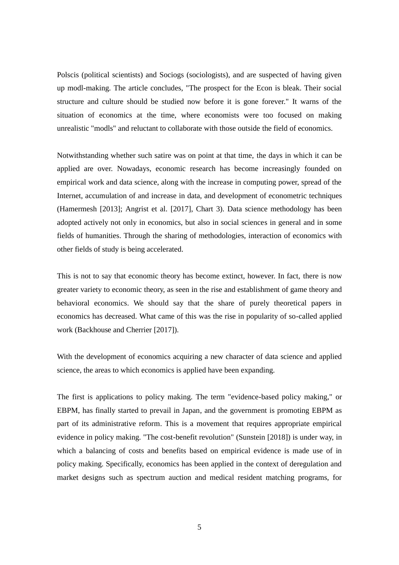Polscis (political scientists) and Sociogs (sociologists), and are suspected of having given up modl-making. The article concludes, "The prospect for the Econ is bleak. Their social structure and culture should be studied now before it is gone forever." It warns of the situation of economics at the time, where economists were too focused on making unrealistic "modls" and reluctant to collaborate with those outside the field of economics.

Notwithstanding whether such satire was on point at that time, the days in which it can be applied are over. Nowadays, economic research has become increasingly founded on empirical work and data science, along with the increase in computing power, spread of the Internet, accumulation of and increase in data, and development of econometric techniques (Hamermesh [2013]; Angrist et al. [2017], Chart 3). Data science methodology has been adopted actively not only in economics, but also in social sciences in general and in some fields of humanities. Through the sharing of methodologies, interaction of economics with other fields of study is being accelerated.

This is not to say that economic theory has become extinct, however. In fact, there is now greater variety to economic theory, as seen in the rise and establishment of game theory and behavioral economics. We should say that the share of purely theoretical papers in economics has decreased. What came of this was the rise in popularity of so-called applied work (Backhouse and Cherrier [2017]).

With the development of economics acquiring a new character of data science and applied science, the areas to which economics is applied have been expanding.

The first is applications to policy making. The term "evidence-based policy making," or EBPM, has finally started to prevail in Japan, and the government is promoting EBPM as part of its administrative reform. This is a movement that requires appropriate empirical evidence in policy making. "The cost-benefit revolution" (Sunstein [2018]) is under way, in which a balancing of costs and benefits based on empirical evidence is made use of in policy making. Specifically, economics has been applied in the context of deregulation and market designs such as spectrum auction and medical resident matching programs, for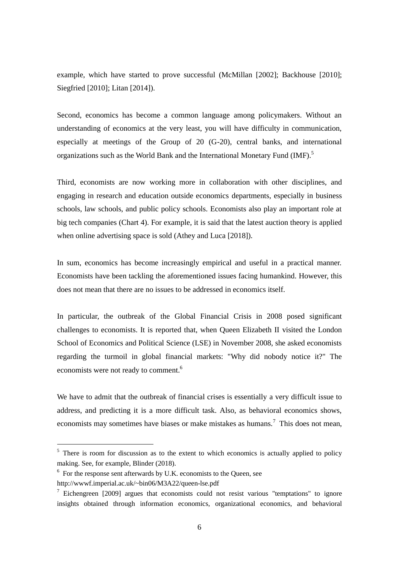example, which have started to prove successful (McMillan [2002]; Backhouse [2010]; Siegfried [2010]; Litan [2014]).

Second, economics has become a common language among policymakers. Without an understanding of economics at the very least, you will have difficulty in communication, especially at meetings of the Group of 20 (G-20), central banks, and international organizations such as the World Bank and the International Monetary Fund (IMF).<sup>5</sup>

Third, economists are now working more in collaboration with other disciplines, and engaging in research and education outside economics departments, especially in business schools, law schools, and public policy schools. Economists also play an important role at big tech companies (Chart 4). For example, it is said that the latest auction theory is applied when online advertising space is sold (Athey and Luca [2018]).

In sum, economics has become increasingly empirical and useful in a practical manner. Economists have been tackling the aforementioned issues facing humankind. However, this does not mean that there are no issues to be addressed in economics itself.

In particular, the outbreak of the Global Financial Crisis in 2008 posed significant challenges to economists. It is reported that, when Queen Elizabeth II visited the London School of Economics and Political Science (LSE) in November 2008, she asked economists regarding the turmoil in global financial markets: "Why did nobody notice it?" The economists were not ready to comment.<sup>6</sup>

We have to admit that the outbreak of financial crises is essentially a very difficult issue to address, and predicting it is a more difficult task. Also, as behavioral economics shows, economists may sometimes have biases or make mistakes as humans.<sup>7</sup> This does not mean,

<sup>&</sup>lt;sup>5</sup> There is room for discussion as to the extent to which economics is actually applied to policy making. See, for example, Blinder (2018).

<sup>&</sup>lt;sup>6</sup> For the response sent afterwards by U.K. economists to the Queen, see

http://wwwf.imperial.ac.uk/~bin06/M3A22/queen-lse.pdf

<sup>&</sup>lt;sup>7</sup> Eichengreen [2009] argues that economists could not resist various "temptations" to ignore insights obtained through information economics, organizational economics, and behavioral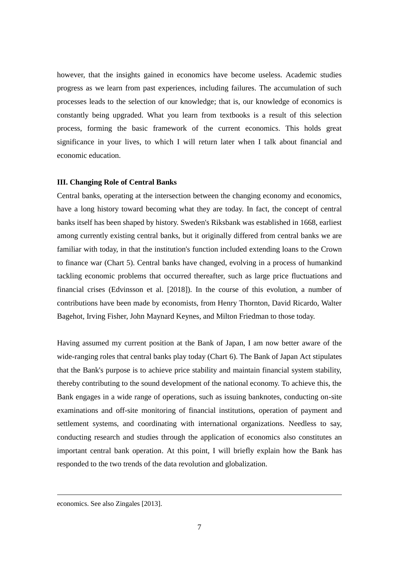however, that the insights gained in economics have become useless. Academic studies progress as we learn from past experiences, including failures. The accumulation of such processes leads to the selection of our knowledge; that is, our knowledge of economics is constantly being upgraded. What you learn from textbooks is a result of this selection process, forming the basic framework of the current economics. This holds great significance in your lives, to which I will return later when I talk about financial and economic education.

### **III. Changing Role of Central Banks**

Central banks, operating at the intersection between the changing economy and economics, have a long history toward becoming what they are today. In fact, the concept of central banks itself has been shaped by history. Sweden's Riksbank was established in 1668, earliest among currently existing central banks, but it originally differed from central banks we are familiar with today, in that the institution's function included extending loans to the Crown to finance war (Chart 5). Central banks have changed, evolving in a process of humankind tackling economic problems that occurred thereafter, such as large price fluctuations and financial crises (Edvinsson et al. [2018]). In the course of this evolution, a number of contributions have been made by economists, from Henry Thornton, David Ricardo, Walter Bagehot, Irving Fisher, John Maynard Keynes, and Milton Friedman to those today.

Having assumed my current position at the Bank of Japan, I am now better aware of the wide-ranging roles that central banks play today (Chart 6). The Bank of Japan Act stipulates that the Bank's purpose is to achieve price stability and maintain financial system stability, thereby contributing to the sound development of the national economy. To achieve this, the Bank engages in a wide range of operations, such as issuing banknotes, conducting on-site examinations and off-site monitoring of financial institutions, operation of payment and settlement systems, and coordinating with international organizations. Needless to say, conducting research and studies through the application of economics also constitutes an important central bank operation. At this point, I will briefly explain how the Bank has responded to the two trends of the data revolution and globalization.

economics. See also Zingales [2013].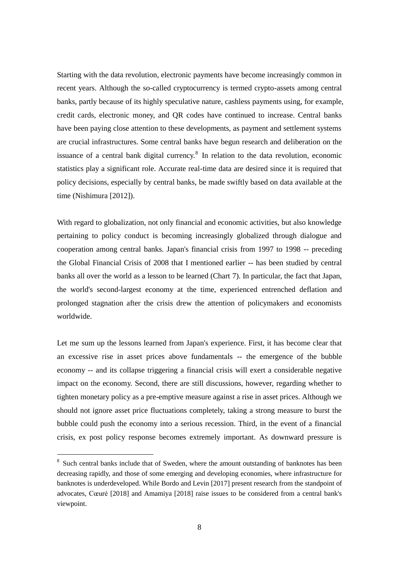Starting with the data revolution, electronic payments have become increasingly common in recent years. Although the so-called cryptocurrency is termed crypto-assets among central banks, partly because of its highly speculative nature, cashless payments using, for example, credit cards, electronic money, and QR codes have continued to increase. Central banks have been paying close attention to these developments, as payment and settlement systems are crucial infrastructures. Some central banks have begun research and deliberation on the issuance of a central bank digital currency.<sup>8</sup> In relation to the data revolution, economic statistics play a significant role. Accurate real-time data are desired since it is required that policy decisions, especially by central banks, be made swiftly based on data available at the time (Nishimura [2012]).

With regard to globalization, not only financial and economic activities, but also knowledge pertaining to policy conduct is becoming increasingly globalized through dialogue and cooperation among central banks. Japan's financial crisis from 1997 to 1998 -- preceding the Global Financial Crisis of 2008 that I mentioned earlier -- has been studied by central banks all over the world as a lesson to be learned (Chart 7). In particular, the fact that Japan, the world's second-largest economy at the time, experienced entrenched deflation and prolonged stagnation after the crisis drew the attention of policymakers and economists worldwide.

Let me sum up the lessons learned from Japan's experience. First, it has become clear that an excessive rise in asset prices above fundamentals -- the emergence of the bubble economy -- and its collapse triggering a financial crisis will exert a considerable negative impact on the economy. Second, there are still discussions, however, regarding whether to tighten monetary policy as a pre-emptive measure against a rise in asset prices. Although we should not ignore asset price fluctuations completely, taking a strong measure to burst the bubble could push the economy into a serious recession. Third, in the event of a financial crisis, ex post policy response becomes extremely important. As downward pressure is

<sup>&</sup>lt;sup>8</sup> Such central banks include that of Sweden, where the amount outstanding of banknotes has been decreasing rapidly, and those of some emerging and developing economies, where infrastructure for banknotes is underdeveloped. While Bordo and Levin [2017] present research from the standpoint of advocates, Cœuré [2018] and Amamiya [2018] raise issues to be considered from a central bank's viewpoint.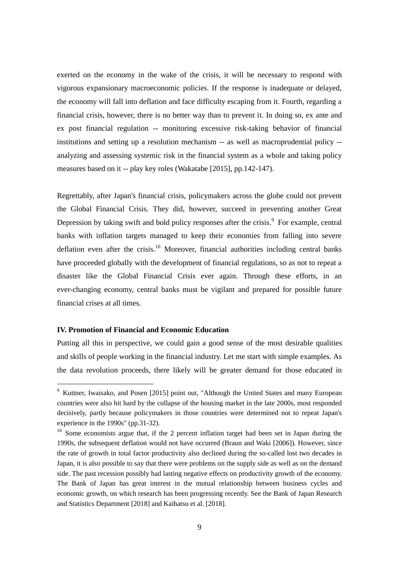exerted on the economy in the wake of the crisis, it will be necessary to respond with vigorous expansionary macroeconomic policies. If the response is inadequate or delayed, the economy will fall into deflation and face difficulty escaping from it. Fourth, regarding a financial crisis, however, there is no better way than to prevent it. In doing so, ex ante and ex post financial regulation -- monitoring excessive risk-taking behavior of financial institutions and setting up a resolution mechanism -- as well as macroprudential policy - analyzing and assessing systemic risk in the financial system as a whole and taking policy measures based on it -- play key roles (Wakatabe [2015], pp.142-147).

Regrettably, after Japan's financial crisis, policymakers across the globe could not prevent the Global Financial Crisis. They did, however, succeed in preventing another Great Depression by taking swift and bold policy responses after the crisis.<sup>9</sup> For example, central banks with inflation targets managed to keep their economies from falling into severe deflation even after the crisis.<sup>10</sup> Moreover, financial authorities including central banks have proceeded globally with the development of financial regulations, so as not to repeat a disaster like the Global Financial Crisis ever again. Through these efforts, in an ever-changing economy, central banks must be vigilant and prepared for possible future financial crises at all times.

### **IV. Promotion of Financial and Economic Education**

-

Putting all this in perspective, we could gain a good sense of the most desirable qualities and skills of people working in the financial industry. Let me start with simple examples. As the data revolution proceeds, there likely will be greater demand for those educated in

<sup>9</sup> Kuttner, Iwaisako, and Posen [2015] point out, "Although the United States and many European countries were also hit hard by the collapse of the housing market in the late 2000s, most responded decisively, partly because policymakers in those countries were determined not to repeat Japan's experience in the 1990s" (pp.31-32).

<sup>&</sup>lt;sup>10</sup> Some economists argue that, if the 2 percent inflation target had been set in Japan during the 1990s, the subsequent deflation would not have occurred (Braun and Waki [2006]). However, since the rate of growth in total factor productivity also declined during the so-called lost two decades in Japan, it is also possible to say that there were problems on the supply side as well as on the demand side. The past recession possibly had lasting negative effects on productivity growth of the economy. The Bank of Japan has great interest in the mutual relationship between business cycles and economic growth, on which research has been progressing recently. See the Bank of Japan Research and Statistics Department [2018] and Kaihatsu et al. [2018].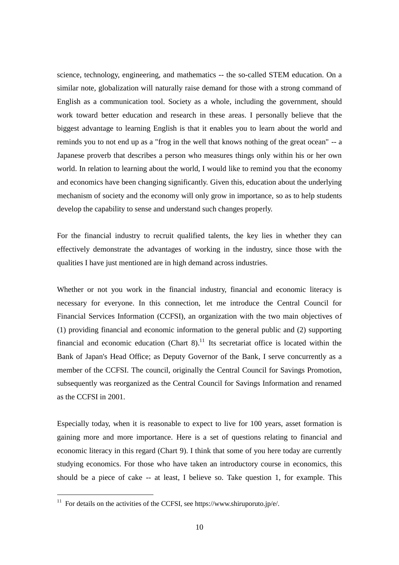science, technology, engineering, and mathematics -- the so-called STEM education. On a similar note, globalization will naturally raise demand for those with a strong command of English as a communication tool. Society as a whole, including the government, should work toward better education and research in these areas. I personally believe that the biggest advantage to learning English is that it enables you to learn about the world and reminds you to not end up as a "frog in the well that knows nothing of the great ocean" -- a Japanese proverb that describes a person who measures things only within his or her own world. In relation to learning about the world, I would like to remind you that the economy and economics have been changing significantly. Given this, education about the underlying mechanism of society and the economy will only grow in importance, so as to help students develop the capability to sense and understand such changes properly.

For the financial industry to recruit qualified talents, the key lies in whether they can effectively demonstrate the advantages of working in the industry, since those with the qualities I have just mentioned are in high demand across industries.

Whether or not you work in the financial industry, financial and economic literacy is necessary for everyone. In this connection, let me introduce the Central Council for Financial Services Information (CCFSI), an organization with the two main objectives of (1) providing financial and economic information to the general public and (2) supporting financial and economic education (Chart  $8$ ).<sup>11</sup> Its secretariat office is located within the Bank of Japan's Head Office; as Deputy Governor of the Bank, I serve concurrently as a member of the CCFSI. The council, originally the Central Council for Savings Promotion, subsequently was reorganized as the Central Council for Savings Information and renamed as the CCFSI in 2001.

Especially today, when it is reasonable to expect to live for 100 years, asset formation is gaining more and more importance. Here is a set of questions relating to financial and economic literacy in this regard (Chart 9). I think that some of you here today are currently studying economics. For those who have taken an introductory course in economics, this should be a piece of cake -- at least, I believe so. Take question 1, for example. This

 $11$  For details on the activities of the CCFSI, see https://www.shiruporuto.jp/e/.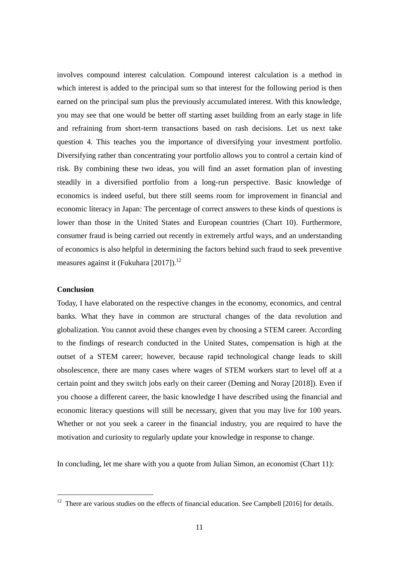involves compound interest calculation. Compound interest calculation is a method in which interest is added to the principal sum so that interest for the following period is then earned on the principal sum plus the previously accumulated interest. With this knowledge, you may see that one would be better off starting asset building from an early stage in life and refraining from short-term transactions based on rash decisions. Let us next take question 4. This teaches you the importance of diversifying your investment portfolio. Diversifying rather than concentrating your portfolio allows you to control a certain kind of risk. By combining these two ideas, you will find an asset formation plan of investing steadily in a diversified portfolio from a long-run perspective. Basic knowledge of economics is indeed useful, but there still seems room for improvement in financial and economic literacy in Japan: The percentage of correct answers to these kinds of questions is lower than those in the United States and European countries (Chart 10). Furthermore, consumer fraud is being carried out recently in extremely artful ways, and an understanding of economics is also helpful in determining the factors behind such fraud to seek preventive measures against it (Fukuhara [2017]).<sup>12</sup>

### **Conclusion**

-

Today, I have elaborated on the respective changes in the economy, economics, and central banks. What they have in common are structural changes of the data revolution and globalization. You cannot avoid these changes even by choosing a STEM career. According to the findings of research conducted in the United States, compensation is high at the outset of a STEM career; however, because rapid technological change leads to skill obsolescence, there are many cases where wages of STEM workers start to level off at a certain point and they switch jobs early on their career (Deming and Noray [2018]). Even if you choose a different career, the basic knowledge I have described using the financial and economic literacy questions will still be necessary, given that you may live for 100 years. Whether or not you seek a career in the financial industry, you are required to have the motivation and curiosity to regularly update your knowledge in response to change.

In concluding, let me share with you a quote from Julian Simon, an economist (Chart 11):

<sup>&</sup>lt;sup>12</sup> There are various studies on the effects of financial education. See Campbell [2016] for details.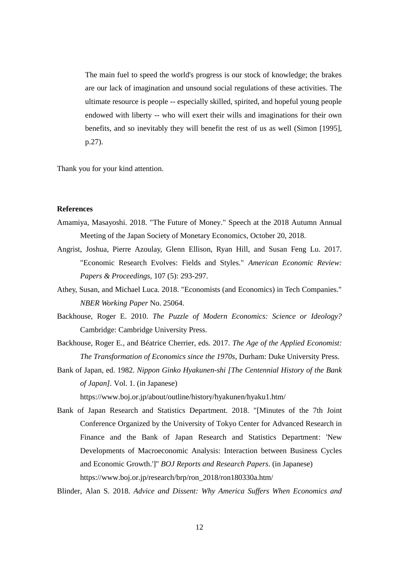The main fuel to speed the world's progress is our stock of knowledge; the brakes are our lack of imagination and unsound social regulations of these activities. The ultimate resource is people -- especially skilled, spirited, and hopeful young people endowed with liberty -- who will exert their wills and imaginations for their own benefits, and so inevitably they will benefit the rest of us as well (Simon [1995], p.27).

Thank you for your kind attention.

### **References**

- Amamiya, Masayoshi. 2018. "The Future of Money." Speech at the 2018 Autumn Annual Meeting of the Japan Society of Monetary Economics, October 20, 2018.
- Angrist, Joshua, Pierre Azoulay, Glenn Ellison, Ryan Hill, and Susan Feng Lu. 2017. "Economic Research Evolves: Fields and Styles." *American Economic Review: Papers & Proceedings,* 107 (5): 293-297.
- Athey, Susan, and Michael Luca. 2018. "Economists (and Economics) in Tech Companies." *NBER Working Paper* No. 25064.
- Backhouse, Roger E. 2010. *The Puzzle of Modern Economics: Science or Ideology?*  Cambridge: Cambridge University Press.
- Backhouse, Roger E., and Béatrice Cherrier, eds. 2017. *The Age of the Applied Economist: The Transformation of Economics since the 1970s*, Durham: Duke University Press.
- Bank of Japan, ed. 1982. *Nippon Ginko Hyakunen-shi [The Centennial History of the Bank of Japan].* Vol. 1. (in Japanese)

https://www.boj.or.jp/about/outline/history/hyakunen/hyaku1.htm/

Bank of Japan Research and Statistics Department. 2018. "[Minutes of the 7th Joint Conference Organized by the University of Tokyo Center for Advanced Research in Finance and the Bank of Japan Research and Statistics Department: 'New Developments of Macroeconomic Analysis: Interaction between Business Cycles and Economic Growth.']" *BOJ Reports and Research Papers*. (in Japanese) https://www.boj.or.jp/research/brp/ron\_2018/ron180330a.htm/

Blinder, Alan S. 2018. *Advice and Dissent: Why America Suffers When Economics and*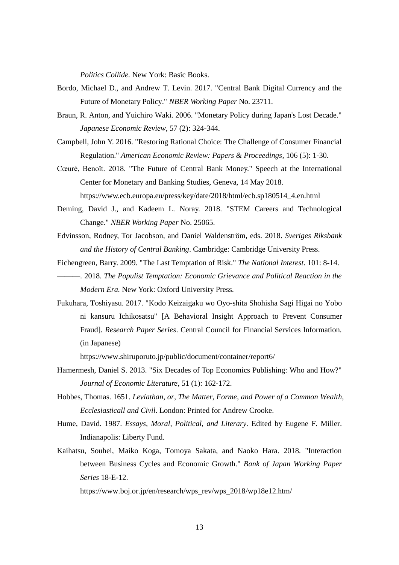*Politics Collide.* New York: Basic Books.

- Bordo, Michael D., and Andrew T. Levin. 2017. "Central Bank Digital Currency and the Future of Monetary Policy." *NBER Working Paper* No. 23711.
- Braun, R. Anton, and Yuichiro Waki. 2006. "Monetary Policy during Japan's Lost Decade." *Japanese Economic Review,* 57 (2): 324-344.
- Campbell, John Y. 2016. "Restoring Rational Choice: The Challenge of Consumer Financial Regulation." *American Economic Review: Papers & Proceedings,* 106 (5): 1-30.
- Cœuré, Benoît. 2018. "The Future of Central Bank Money." Speech at the International Center for Monetary and Banking Studies, Geneva, 14 May 2018. https://www.ecb.europa.eu/press/key/date/2018/html/ecb.sp180514\_4.en.html
- Deming, David J., and Kadeem L. Noray. 2018. "STEM Careers and Technological Change." *NBER Working Paper* No. 25065.
- Edvinsson, Rodney, Tor Jacobson, and Daniel Waldenström, eds. 2018. *Sveriges Riksbank and the History of Central Banking*. Cambridge: Cambridge University Press.
- Eichengreen, Barry. 2009. "The Last Temptation of Risk." *The National Interest*. 101: 8-14. ———. 2018. *The Populist Temptation: Economic Grievance and Political Reaction in the Modern Era.* New York: Oxford University Press.
- Fukuhara, Toshiyasu. 2017. "Kodo Keizaigaku wo Oyo-shita Shohisha Sagi Higai no Yobo ni kansuru Ichikosatsu" [A Behavioral Insight Approach to Prevent Consumer Fraud]. *Research Paper Series*. Central Council for Financial Services Information. (in Japanese)

https://www.shiruporuto.jp/public/document/container/report6/

- Hamermesh, Daniel S. 2013. "Six Decades of Top Economics Publishing: Who and How?" *Journal of Economic Literature,* 51 (1): 162-172.
- Hobbes, Thomas. 1651. *Leviathan, or, The Matter, Forme, and Power of a Common Wealth, Ecclesiasticall and Civil*. London: Printed for Andrew Crooke.
- Hume, David. 1987. *Essays, Moral, Political, and Literary.* Edited by Eugene F. Miller. Indianapolis: Liberty Fund.
- Kaihatsu, Souhei, Maiko Koga, Tomoya Sakata, and Naoko Hara. 2018. "Interaction between Business Cycles and Economic Growth." *Bank of Japan Working Paper Series* 18-E-12.

https://www.boj.or.jp/en/research/wps\_rev/wps\_2018/wp18e12.htm/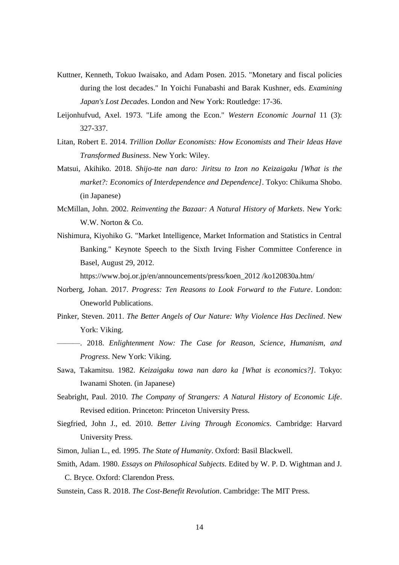- Kuttner, Kenneth, Tokuo Iwaisako, and Adam Posen. 2015. "Monetary and fiscal policies during the lost decades." In Yoichi Funabashi and Barak Kushner, eds. *Examining Japan's Lost Decad*es. London and New York: Routledge: 17-36.
- Leijonhufvud, Axel. 1973. "Life among the Econ." *Western Economic Journal* 11 (3): 327-337.
- Litan, Robert E. 2014. *Trillion Dollar Economists: How Economists and Their Ideas Have Transformed Business*. New York: Wiley.
- Matsui, Akihiko. 2018. *Shijo-tte nan daro: Jiritsu to Izon no Keizaigaku [What is the market?: Economics of Interdependence and Dependence]*. Tokyo: Chikuma Shobo. (in Japanese)
- McMillan, John. 2002. *Reinventing the Bazaar: A Natural History of Markets*. New York: W.W. Norton & Co.
- Nishimura, Kiyohiko G. "Market Intelligence, Market Information and Statistics in Central Banking." Keynote Speech to the Sixth Irving Fisher Committee Conference in Basel, August 29, 2012.

https://www.boj.or.jp/en/announcements/press/koen\_2012 /ko120830a.htm/

- Norberg, Johan. 2017. *Progress: Ten Reasons to Look Forward to the Future*. London: Oneworld Publications.
- Pinker, Steven. 2011. *The Better Angels of Our Nature: Why Violence Has Declined*. New York: Viking.
- ———. 2018. *Enlightenment Now: The Case for Reason, Science, Humanism, and Progress*. New York: Viking.
- Sawa, Takamitsu. 1982. *Keizaigaku towa nan daro ka [What is economics?]*. Tokyo: Iwanami Shoten. (in Japanese)
- Seabright, Paul. 2010. *The Company of Strangers: A Natural History of Economic Life*. Revised edition. Princeton: Princeton University Press.
- Siegfried, John J., ed. 2010. *Better Living Through Economics*. Cambridge: Harvard University Press.
- Simon, Julian L., ed. 1995. *The State of Humanity*. Oxford: Basil Blackwell.
- Smith, Adam. 1980. *Essays on Philosophical Subjects.* Edited by W. P. D. Wightman and J. C. Bryce. Oxford: Clarendon Press.
- Sunstein, Cass R. 2018. *The Cost-Benefit Revolution*. Cambridge: The MIT Press.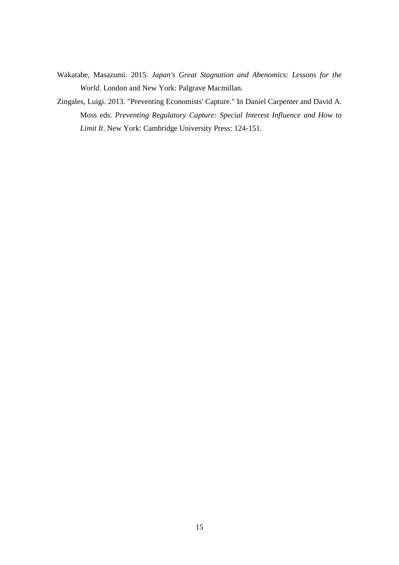- Wakatabe, Masazumi. 2015. *Japan's Great Stagnation and Abenomics: Lessons for the World*. London and New York: Palgrave Macmillan.
- Zingales, Luigi. 2013. "Preventing Economists' Capture." In Daniel Carpenter and David A. Moss eds. *Preventing Regulatory Capture: Special Interest Influence and How to Limit It*. New York: Cambridge University Press: 124-151.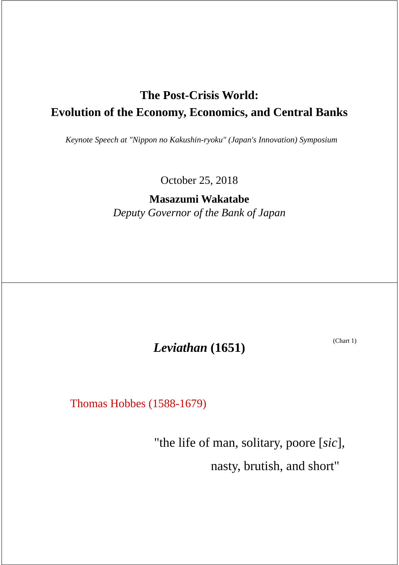## **The Post-Crisis World: Evolution of the Economy, Economics, and Central Banks**

*Keynote Speech at "Nippon no Kakushin-ryoku" (Japan's Innovation) Symposium*

October 25, 2018

**Masazumi Wakatabe** *Deputy Governor of the Bank of Japan*

(Chart 1) *Leviathan* **(1651)**

Thomas Hobbes (1588-1679)

"the life of man, solitary, poore [*sic*], nasty, brutish, and short"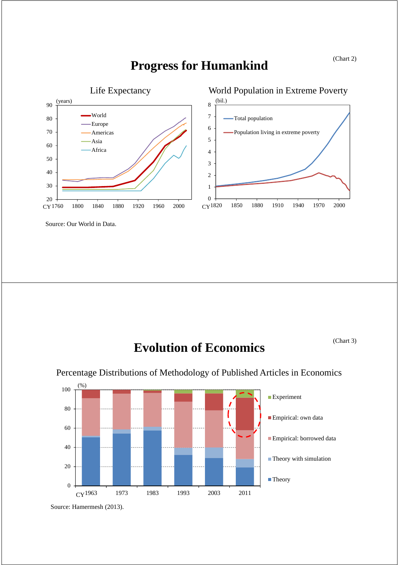

## **Progress for Humankind**

Source: Our World in Data.

# **Evolution of Economics**

(Chart 3)



### Percentage Distributions of Methodology of Published Articles in Economics

Source: Hamermesh (2013).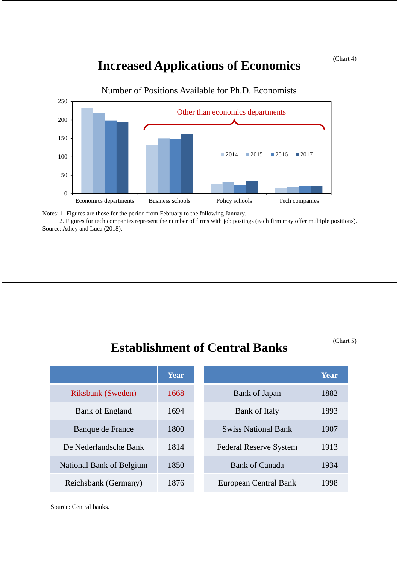### (Chart 4)

## **Increased Applications of Economics**



Number of Positions Available for Ph.D. Economists

Notes: 1. Figures are those for the period from February to the following January.

2. Figures for tech companies represent the number of firms with job postings (each firm may offer multiple positions). Source: Athey and Luca (2018).

## **Establishment of Central Banks**

(Chart 5)

|                          | Year |                               | Year |
|--------------------------|------|-------------------------------|------|
| <b>Riksbank</b> (Sweden) | 1668 | Bank of Japan                 | 1882 |
| Bank of England          | 1694 | <b>Bank of Italy</b>          | 1893 |
| Banque de France         | 1800 | <b>Swiss National Bank</b>    | 1907 |
| De Nederlandsche Bank    | 1814 | <b>Federal Reserve System</b> | 1913 |
| National Bank of Belgium | 1850 | Bank of Canada                | 1934 |
| Reichsbank (Germany)     | 1876 | European Central Bank         | 1998 |

Source: Central banks.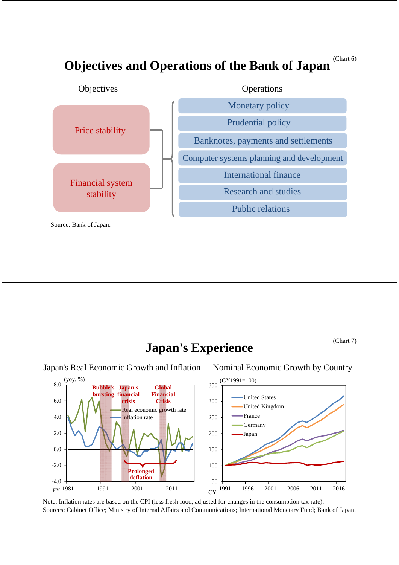(Chart 6)

## **Objectives and Operations of the Bank of Japan**



**Japan's Experience**

(Chart 7)

Japan's Real Economic Growth and Inflation Nominal Economic Growth by Country



Note: Inflation rates are based on the CPI (less fresh food, adjusted for changes in the consumption tax rate). Sources: Cabinet Office; Ministry of Internal Affairs and Communications; International Monetary Fund; Bank of Japan.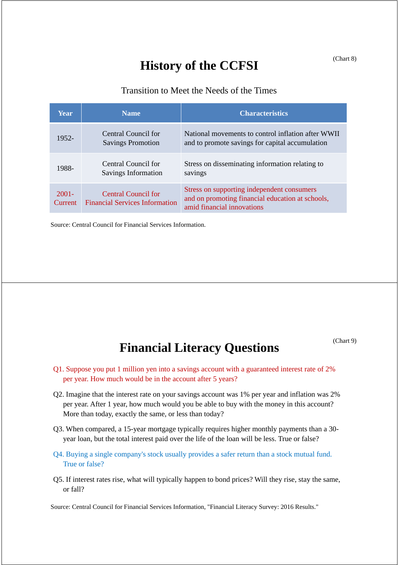## **History of the CCFSI**

### Transition to Meet the Needs of the Times

| Year                       | <b>Name</b>                                                  | <b>Characteristics</b>                                                                                                       |
|----------------------------|--------------------------------------------------------------|------------------------------------------------------------------------------------------------------------------------------|
| 1952-                      | Central Council for<br><b>Savings Promotion</b>              | National movements to control inflation after WWII<br>and to promote savings for capital accumulation                        |
| 1988-                      | Central Council for<br>Savings Information                   | Stress on disseminating information relating to<br>savings                                                                   |
| $2001 -$<br><b>Current</b> | Central Council for<br><b>Financial Services Information</b> | Stress on supporting independent consumers<br>and on promoting financial education at schools,<br>amid financial innovations |

Source: Central Council for Financial Services Information.

(Chart 9)

# **Financial Literacy Questions**

- Q1. Suppose you put 1 million yen into a savings account with a guaranteed interest rate of 2% per year. How much would be in the account after 5 years?
- Q2. Imagine that the interest rate on your savings account was 1% per year and inflation was 2% per year. After 1 year, how much would you be able to buy with the money in this account? More than today, exactly the same, or less than today?
- Q3. When compared, a 15-year mortgage typically requires higher monthly payments than a 30 year loan, but the total interest paid over the life of the loan will be less. True or false?
- Q4. Buying a single company's stock usually provides a safer return than a stock mutual fund. True or false?
- Q5. If interest rates rise, what will typically happen to bond prices? Will they rise, stay the same, or fall?

Source: Central Council for Financial Services Information, "Financial Literacy Survey: 2016 Results."